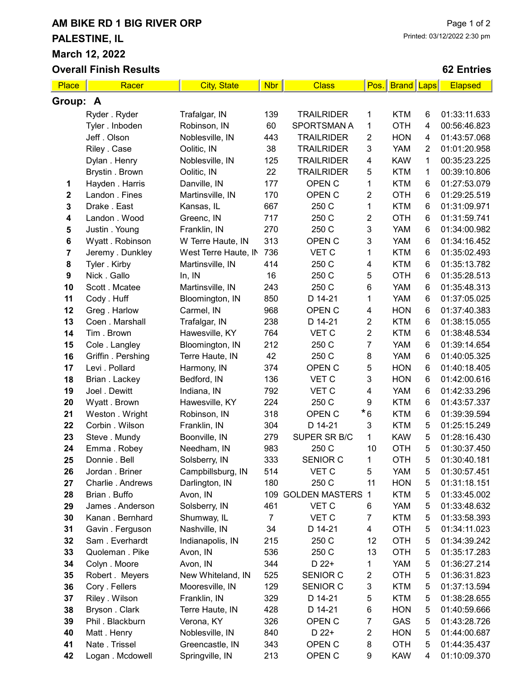## AM BIKE RD 1 BIG RIVER ORP PALESTINE, IL March 12, 2022

Overall Finish Results

## 62 Entries

| <b>Place</b>            | Racer              | <b>City, State</b>   | <b>Nbr</b>     | <b>Class</b>            | Pos.                    | <b>Brand Laps</b> |                | <b>Elapsed</b> |  |
|-------------------------|--------------------|----------------------|----------------|-------------------------|-------------------------|-------------------|----------------|----------------|--|
| Group: A                |                    |                      |                |                         |                         |                   |                |                |  |
|                         | Ryder . Ryder      | Trafalgar, IN        | 139            | <b>TRAILRIDER</b>       | 1                       | <b>KTM</b>        | 6              | 01:33:11.633   |  |
|                         | Tyler. Inboden     | Robinson, IN         | 60             | <b>SPORTSMAN A</b>      | 1                       | <b>OTH</b>        | 4              | 00:56:46.823   |  |
|                         | Jeff. Olson        | Noblesville, IN      | 443            | <b>TRAILRIDER</b>       | 2                       | <b>HON</b>        | 4              | 01:43:57.068   |  |
|                         | Riley . Case       | Oolitic, IN          | 38             | <b>TRAILRIDER</b>       | 3                       | <b>YAM</b>        | $\overline{2}$ | 01:01:20.958   |  |
|                         | Dylan . Henry      | Noblesville, IN      | 125            | <b>TRAILRIDER</b>       | $\overline{\mathbf{4}}$ | <b>KAW</b>        | 1              | 00:35:23.225   |  |
|                         | Brystin . Brown    | Oolitic, IN          | 22             | <b>TRAILRIDER</b>       | 5                       | <b>KTM</b>        | 1              | 00:39:10.806   |  |
| 1                       | Hayden . Harris    | Danville, IN         | 177            | OPEN C                  | 1                       | <b>KTM</b>        | 6              | 01:27:53.079   |  |
| $\mathbf 2$             | Landon . Fines     | Martinsville, IN     | 170            | OPEN C                  | 2                       | <b>OTH</b>        | 6              | 01:29:25.519   |  |
| 3                       | Drake . East       | Kansas, IL           | 667            | 250 C                   | 1                       | <b>KTM</b>        | 6              | 01:31:09.971   |  |
| 4                       | Landon . Wood      | Greenc, IN           | 717            | 250 C                   | $\overline{2}$          | <b>OTH</b>        | 6              | 01:31:59.741   |  |
| 5                       | Justin . Young     | Franklin, IN         | 270            | 250 C                   | 3                       | <b>YAM</b>        | 6              | 01:34:00.982   |  |
| 6                       | Wyatt . Robinson   | W Terre Haute, IN    | 313            | OPEN C                  | 3                       | <b>YAM</b>        | 6              | 01:34:16.452   |  |
| $\overline{\mathbf{7}}$ | Jeremy . Dunkley   | West Terre Haute, IN | 736            | VET C                   | 1                       | <b>KTM</b>        | 6              | 01:35:02.493   |  |
| 8                       | Tyler . Kirby      | Martinsville, IN     | 414            | 250 C                   | 4                       | <b>KTM</b>        | 6              | 01:35:13.782   |  |
| 9                       | Nick. Gallo        | In, IN               | 16             | 250 C                   | 5                       | <b>OTH</b>        | 6              | 01:35:28.513   |  |
| 10                      | Scott . Mcatee     | Martinsville, IN     | 243            | 250 C                   | $\,6\,$                 | <b>YAM</b>        | 6              | 01:35:48.313   |  |
| 11                      | Cody . Huff        | Bloomington, IN      | 850            | D 14-21                 | 1                       | <b>YAM</b>        | 6              | 01:37:05.025   |  |
| 12                      | Greg. Harlow       | Carmel, IN           | 968            | OPEN C                  | 4                       | <b>HON</b>        | 6              | 01:37:40.383   |  |
| 13                      | Coen . Marshall    | Trafalgar, IN        | 238            | D 14-21                 | $\overline{2}$          | <b>KTM</b>        | 6              | 01:38:15.055   |  |
| 14                      | Tim. Brown         | Hawesville, KY       | 764            | VET C                   | $\overline{2}$          | <b>KTM</b>        | 6              | 01:38:48.534   |  |
| 15                      | Cole . Langley     | Bloomington, IN      | 212            | 250 C                   | 7                       | <b>YAM</b>        | 6              | 01:39:14.654   |  |
| 16                      | Griffin . Pershing | Terre Haute, IN      | 42             | 250 C                   | 8                       | <b>YAM</b>        | 6              | 01:40:05.325   |  |
| 17                      | Levi . Pollard     | Harmony, IN          | 374            | OPEN C                  | 5                       | <b>HON</b>        | 6              | 01:40:18.405   |  |
| 18                      | Brian . Lackey     | Bedford, IN          | 136            | VET C                   | 3                       | <b>HON</b>        | $\,6$          | 01:42:00.616   |  |
| 19                      | Joel . Dewitt      | Indiana, IN          | 792            | VET C                   | $\overline{\mathbf{4}}$ | <b>YAM</b>        | 6              | 01:42:33.296   |  |
| 20                      | Wyatt . Brown      | Hawesville, KY       | 224            | 250 C                   | 9                       | <b>KTM</b>        | $\,6$          | 01:43:57.337   |  |
| 21                      | Weston . Wright    | Robinson, IN         | 318            | OPEN C                  | $^{\star}6$             | <b>KTM</b>        | 6              | 01:39:39.594   |  |
| 22                      | Corbin . Wilson    | Franklin, IN         | 304            | D 14-21                 | 3                       | <b>KTM</b>        | 5              | 01:25:15.249   |  |
| 23                      | Steve . Mundy      | Boonville, IN        | 279            | SUPER SR B/C            | 1                       | <b>KAW</b>        | 5              | 01:28:16.430   |  |
| 24                      | Emma. Robey        | Needham, IN          | 983            | 250 C                   | 10                      | <b>OTH</b>        | 5              | 01:30:37.450   |  |
| 25                      | Donnie . Bell      | Solsberry, IN        | 333            | <b>SENIOR C</b>         | 1                       | <b>OTH</b>        | 5              | 01:30:40.181   |  |
| 26                      | Jordan . Briner    | Campbillsburg, IN    | 514            | VET C                   | 5                       | <b>YAM</b>        | 5              | 01:30:57.451   |  |
| 27                      | Charlie . Andrews  | Darlington, IN       | 180            | 250 C                   | 11                      | <b>HON</b>        | 5              | 01:31:18.151   |  |
| 28                      | Brian. Buffo       | Avon, IN             | 109            | <b>GOLDEN MASTERS 1</b> |                         | <b>KTM</b>        | 5              | 01:33:45.002   |  |
| 29                      | James . Anderson   | Solsberry, IN        | 461            | VET C                   | 6                       | <b>YAM</b>        | 5              | 01:33:48.632   |  |
| 30                      | Kanan. Bernhard    | Shumway, IL          | $\overline{7}$ | VET C                   | $\overline{7}$          | <b>KTM</b>        | 5              | 01:33:58.393   |  |
| 31                      | Gavin . Ferguson   | Nashville, IN        | 34             | D 14-21                 | 4                       | <b>OTH</b>        | 5              | 01:34:11.023   |  |
| 32                      | Sam. Everhardt     | Indianapolis, IN     | 215            | 250 C                   | 12                      | <b>OTH</b>        | 5              | 01:34:39.242   |  |
| 33                      | Quoleman. Pike     | Avon, IN             | 536            | 250 C                   | 13                      | <b>OTH</b>        | 5              | 01:35:17.283   |  |
| 34                      | Colyn . Moore      | Avon, IN             | 344            | D 22+                   | 1                       | <b>YAM</b>        | 5              | 01:36:27.214   |  |
| 35                      | Robert. Meyers     | New Whiteland, IN    | 525            | <b>SENIOR C</b>         | $\overline{\mathbf{c}}$ | <b>OTH</b>        | 5              | 01:36:31.823   |  |
| 36                      | Cory . Fellers     | Mooresville, IN      | 129            | <b>SENIOR C</b>         | 3                       | <b>KTM</b>        | 5              | 01:37:13.594   |  |
| 37                      | Riley . Wilson     | Franklin, IN         | 329            | D 14-21                 | 5                       | <b>KTM</b>        | 5              | 01:38:28.655   |  |
| 38                      | Bryson . Clark     | Terre Haute, IN      | 428            | D 14-21                 | 6                       | <b>HON</b>        | 5              | 01:40:59.666   |  |
| 39                      | Phil . Blackburn   | Verona, KY           | 326            | OPEN <sub>C</sub>       | $\overline{7}$          | GAS               | 5              | 01:43:28.726   |  |
| 40                      | Matt. Henry        | Noblesville, IN      | 840            | D 22+                   | $\overline{c}$          | <b>HON</b>        | 5              | 01:44:00.687   |  |
| 41                      | Nate . Trissel     | Greencastle, IN      | 343            | OPEN <sub>C</sub>       | 8                       | <b>OTH</b>        | 5              | 01:44:35.437   |  |
| 42                      | Logan . Mcdowell   | Springville, IN      | 213            | OPEN C                  | 9                       | <b>KAW</b>        | 4              | 01:10:09.370   |  |